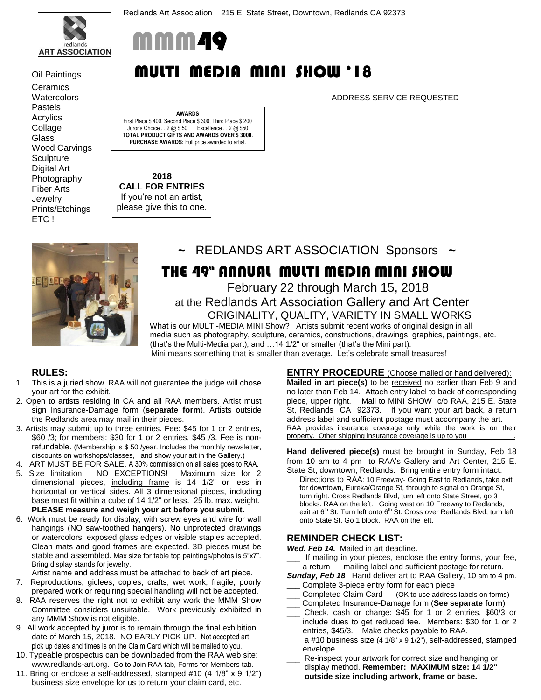

**Ceramics** Pastels Acrylics Collage **Glass** Wood Carvings **Sculpture** Digital Art Photography Fiber Arts **Jewelry** Prints/Etchings ETC !



# Oil Paintings **MULTI MEDIA MINI SHOW '18**

Watercolors ADDRESS SERVICE REQUESTED

**AWARDS** First Place \$ 400, Second Place \$ 300, Third Place \$ 200 Juror's Choice . . 2 @ \$ 50 Excellence . . 2 @ \$50 **TOTAL PRODUCT GIFTS AND AWARDS OVER \$ 3000. PURCHASE AWARDS:** Full price awarded to artist.

**2018 CALL FOR ENTRIES** If you're not an artist, please give this to one.



**~** REDLANDS ART ASSOCIATION Sponsors **~** 

# THE 49<sup>th</sup> Annual Multi Media Mini Show

February 22 through March 15, 2018 at the Redlands Art Association Gallery and Art Center

 ORIGINALITY, QUALITY, VARIETY IN SMALL WORKS What is our MULTI-MEDIA MINI Show? Artists submit recent works of original design in all media such as photography, sculpture, ceramics, constructions, drawings, graphics, paintings, etc. (that's the Multi-Media part), and …14 1/2" or smaller (that's the Mini part). Mini means something that is smaller than average. Let's celebrate small treasures!

### **RULES:**

- 1. This is a juried show. RAA will not guarantee the judge will chose your art for the exhibit.
- 2. Open to artists residing in CA and all RAA members. Artist must sign Insurance-Damage form (**separate form**). Artists outside the Redlands area may mail in their pieces.
- 3. Artists may submit up to three entries. Fee: \$45 for 1 or 2 entries, \$60 /3; for members: \$30 for 1 or 2 entries, \$45 /3. Fee is nonrefundable. (Membership is \$ 50 /year. Includes the monthly newsletter, discounts on workshops/classes, and show your art in the Gallery.)
- 4. ART MUST BE FOR SALE. A 30% commission on all sales goes to RAA.
- 5. Size limitation. NO EXCEPTIONS! Maximum size for 2 dimensional pieces, including frame is 14 1/2" or less in horizontal or vertical sides. All 3 dimensional pieces, including base must fit within a cube of 14 1/2" or less. 25 lb. max. weight. **PLEASE measure and weigh your art before you submit.**
- 6. Work must be ready for display, with screw eyes and wire for wall hangings (NO saw-toothed hangers). No unprotected drawings or watercolors, exposed glass edges or visible staples accepted. Clean mats and good frames are expected. 3D pieces must be stable and assembled. Max size for table top paintings/photos is 5"x7". Bring display stands for jewelry.
- Artist name and address must be attached to back of art piece.
- 7. Reproductions, giclees, copies, crafts, wet work, fragile, poorly prepared work or requiring special handling will not be accepted.
- 8. RAA reserves the right not to exhibit any work the MMM Show Committee considers unsuitable. Work previously exhibited in any MMM Show is not eligible.
- 9. All work accepted by juror is to remain through the final exhibition date of March 15, 2018. NO EARLY PICK UP. Not accepted art pick up dates and times is on the Claim Card which will be mailed to you.
- 10. Typeable prospectus can be downloaded from the RAA web site: www.redlands-art.org. Go to Join RAA tab, Forms for Members tab.
- 11. Bring or enclose a self-addressed, stamped #10 (4 1/8" x 9 1/2") business size envelope for us to return your claim card, etc.

**ENTRY PROCEDURE** (Choose mailed or hand delivered):

**Mailed in art piece(s)** to be received no earlier than Feb 9 and no later than Feb 14. Attach entry label to back of corresponding piece, upper right. Mail to MINI SHOW c/o RAA, 215 E. State St, Redlands CA 92373. If you want your art back, a return address label and sufficient postage must accompany the art. RAA provides insurance coverage only while the work is on their property. Other shipping insurance coverage is up to you

**Hand delivered piece(s)** must be brought in Sunday, Feb 18 from 10 am to 4 pm to RAA's Gallery and Art Center, 215 E. State St, downtown, Redlands. Bring entire entry form intact.

Directions to RAA: 10 Freeway- Going East to Redlands, take exit for downtown, Eureka/Orange St, through to signal on Orange St, turn right. Cross Redlands Blvd, turn left onto State Street, go 3 blocks. RAA on the left. Going west on 10 Freeway to Redlands,<br>exit at 6<sup>th</sup> St. Turn left onto 6<sup>th</sup> St. Cross over Redlands Blvd, turn left onto State St. Go 1 block. RAA on the left.

#### **REMINDER CHECK LIST:**

*Wed. Feb 14.* Mailed in art deadline.

- If mailing in your pieces, enclose the entry forms, your fee, a return mailing label and sufficient postage for return.
- *Sunday, Feb 18* Hand deliver art to RAA Gallery, 10 am to 4 pm. \_\_\_ Complete 3-piece entry form for each piece
- Completed Claim Card (OK to use address labels on forms)
- \_\_\_ Completed Insurance-Damage form (**See separate form**)
- \_\_\_ Check, cash or charge: \$45 for 1 or 2 entries, \$60/3 or include dues to get reduced fee. Members: \$30 for 1 or 2 entries, \$45/3. Make checks payable to RAA.
- a #10 business size (4 1/8" x 9 1/2"), self-addressed, stamped envelope.
- Re-inspect your artwork for correct size and hanging or display method. **Remember: MAXIMUM size: 14 1/2" outside size including artwork, frame or base.**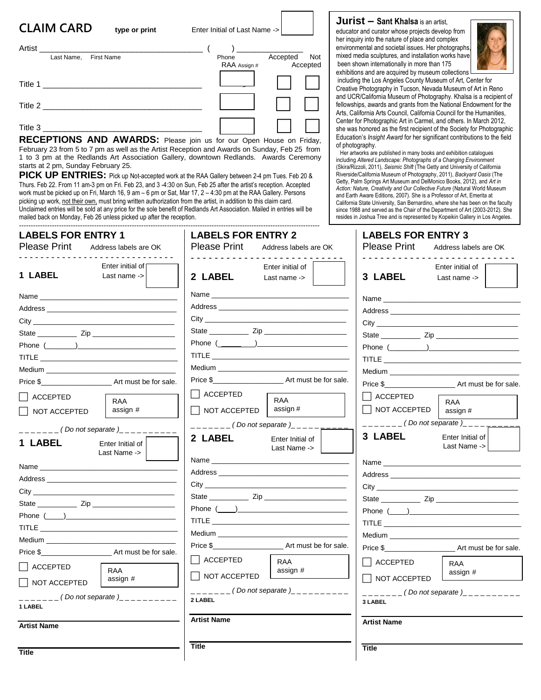| <b>CLAIM CARD</b> | type or print     | Enter Initial of Last Name -> |                 |
|-------------------|-------------------|-------------------------------|-----------------|
| Artist            |                   |                               |                 |
| Last Name,        | <b>First Name</b> | Phone                         | Accepted<br>Not |
|                   |                   | RAA Assign #                  | Accepted        |
| Title 1           |                   |                               |                 |
| Title 2           |                   |                               |                 |
| Title 3           |                   |                               |                 |

**RECEPTIONS AND AWARDS:** Please join us for our Open House on Friday, February 23 from 5 to 7 pm as well as the Artist Reception and Awards on Sunday, Feb 25 from 1 to 3 pm at the Redlands Art Association Gallery, downtown Redlands. Awards Ceremony starts at 2 pm, Sunday February 25.

**PICK UP ENTRIES:** Pick up Not-accepted work at the RAA Gallery between 2-4 pm Tues. Feb 20 & Thurs. Feb 22. From 11 am-3 pm on Fri. Feb 23, and 3 -4:30 on Sun, Feb 25 after the artist's reception. Accepted work must be picked up on Fri, March 16, 9 am – 6 pm or Sat, Mar 17, 2 – 4:30 pm at the RAA Gallery. Persons picking up work, not their own, must bring written authorization from the artist, in addition to this claim card. Unclaimed entries will be sold at any price for the sole benefit of Redlands Art Association. Mailed in entries will be mailed back on Monday, Feb 26 unless picked up after the reception.

#### her inquiry into the nature of place and complex environmental and societal issues. Her photographs,

mixed media sculptures, and installation works have been shown internationally in more than 175 exhibitions and are acquired by museum collections

**Jurist – Sant Khalsa** is an artist, educator and curator whose projects develop from



including the Los Angeles County Museum of Art, Center for Creative Photography in Tucson, Nevada Museum of Art in Reno and UCR/California Museum of Photography. Khalsa is a recipient of fellowships, awards and grants from the National Endowment for the Arts, California Arts Council, California Council for the Humanities, Center for Photographic Art in Carmel, and others. In March 2012, she was honored as the first recipient of the Society for Photographic Education's *Insight Award* for her significant contributions to the field of photography.

 Her artworks are published in many books and exhibition catalogues including *Altered Landscape: Photographs of a Changing Environment* (Skira/Rizzoli, 2011), *Seismic Shift* (The Getty and University of California Riverside/California Museum of Photography, 2011), *Backyard Oasis* (The Getty, Palm Springs Art Museum and DelMonico Books, 2012), and *Art in Action: Nature, Creativity and Our Collective Future* (Natural World Museum and Earth Aware Editions, 2007). She is a Professor of Art, Emerita at California State University, San Bernardino, where she has been on the faculty since 1988 and served as the Chair of the Department of Art (2003-2012). She resides in Joshua Tree and is represented by Kopeikin Gallery in Los Angeles.

| <b>LABELS FOR ENTRY 1</b><br><b>Please Print</b><br>Address labels are OK                                                                                                                                                                                                                                                                                                                                                                                              | <b>LABELS FOR ENTRY 2</b><br><b>Please Print</b><br>Address labels are OK                                                                                                                                                                                                                                                              | <b>LABELS FOR ENTRY 3</b><br>Please Print<br>Address labels are OK                                                                 |
|------------------------------------------------------------------------------------------------------------------------------------------------------------------------------------------------------------------------------------------------------------------------------------------------------------------------------------------------------------------------------------------------------------------------------------------------------------------------|----------------------------------------------------------------------------------------------------------------------------------------------------------------------------------------------------------------------------------------------------------------------------------------------------------------------------------------|------------------------------------------------------------------------------------------------------------------------------------|
| Enter initial of<br><b>1 LABEL</b><br>Last name $\rightarrow$                                                                                                                                                                                                                                                                                                                                                                                                          | Enter initial of<br>2 LABEL<br>Last name $\rightarrow$                                                                                                                                                                                                                                                                                 | Enter initial of<br>3 LABEL<br>Last name $\rightarrow$                                                                             |
| Name and the contract of the contract of the contract of the contract of the contract of the contract of the contract of the contract of the contract of the contract of the contract of the contract of the contract of the c<br>Address and the contract of the contract of the contract of the contract of the contract of the contract of the<br>Phone $(\_\_\_\_)$<br>Medium _______________________<br><b>ACCEPTED</b><br><b>RAA</b><br>assign #<br>NOT ACCEPTED | Address and the contract of the contract of the contract of the contract of the contract of the contract of the contract of the contract of the contract of the contract of the contract of the contract of the contract of th<br>State <b>Zip Zip</b><br>Phone $(\_\_)$<br>    ACCEPTED<br><b>RAA</b><br>assign #<br>│ │ NOT ACCEPTED | Name<br>Price \$ Art must be for sale.<br>    ACCEPTED<br><b>RAA</b><br>│ │ NOT ACCEPTED<br>assign #<br>$---($ Do not separate $)$ |
| _______(Do not separate )__________<br>1 LABEL<br>Enter Initial of<br>Last Name ->                                                                                                                                                                                                                                                                                                                                                                                     | $------($ Do not separate $)$<br>2 LABEL<br>Enter Initial of<br>Last Name ->                                                                                                                                                                                                                                                           | 3 LABEL<br>Enter Initial of<br>Last Name ->                                                                                        |
| Name and the contract of the contract of the contract of the contract of the contract of the contract of the contract of the contract of the contract of the contract of the contract of the contract of the contract of the c<br>Phone $(\_\_\_)$<br><b>TITLE <i>CONTRACTLY</i></b><br>Medium <b>Exercise Service Service Service</b> Service Service Service Service Service Service Service Service Service<br>Price \$                                             | City that the contract of the contract of the contract of the contract of the contract of the contract of the contract of the contract of the contract of the contract of the contract of the contract of the contract of the<br><b>Medium Example 2014</b><br>Price \$ Art must be for sale.                                          | City<br><b>TITLE <i>CONTRACTLY</i></b>                                                                                             |
| ACCEPTED<br><b>RAA</b><br>assign #                                                                                                                                                                                                                                                                                                                                                                                                                                     | $\Box$ ACCEPTED<br><b>RAA</b><br>assign #<br>  NOT ACCEPTED                                                                                                                                                                                                                                                                            | ACCEPTED<br><b>RAA</b><br>assign #<br>$\Box$ NOT ACCEPTED                                                                          |
| $\overline{\phantom{a}}$ NOT ACCEPTED<br>_______(Do not separate)__________<br>1 LABEL                                                                                                                                                                                                                                                                                                                                                                                 | $\frac{1}{1}$ = $\frac{1}{1}$ = $\frac{1}{1}$ = $\frac{1}{1}$ (Do not separate ) = $\frac{1}{1}$ = $\frac{1}{1}$ = $\frac{1}{1}$ = $\frac{1}{1}$ = $\frac{1}{1}$<br>2 LABEL                                                                                                                                                            | $\frac{1}{2}$ = $\frac{1}{2}$ = $\frac{1}{2}$ (Do not separate )__________<br>3 LABEL                                              |
| <b>Artist Name</b>                                                                                                                                                                                                                                                                                                                                                                                                                                                     | <b>Artist Name</b>                                                                                                                                                                                                                                                                                                                     | <b>Artist Name</b>                                                                                                                 |
| <b>Title</b>                                                                                                                                                                                                                                                                                                                                                                                                                                                           | <b>Title</b>                                                                                                                                                                                                                                                                                                                           | <b>Title</b>                                                                                                                       |